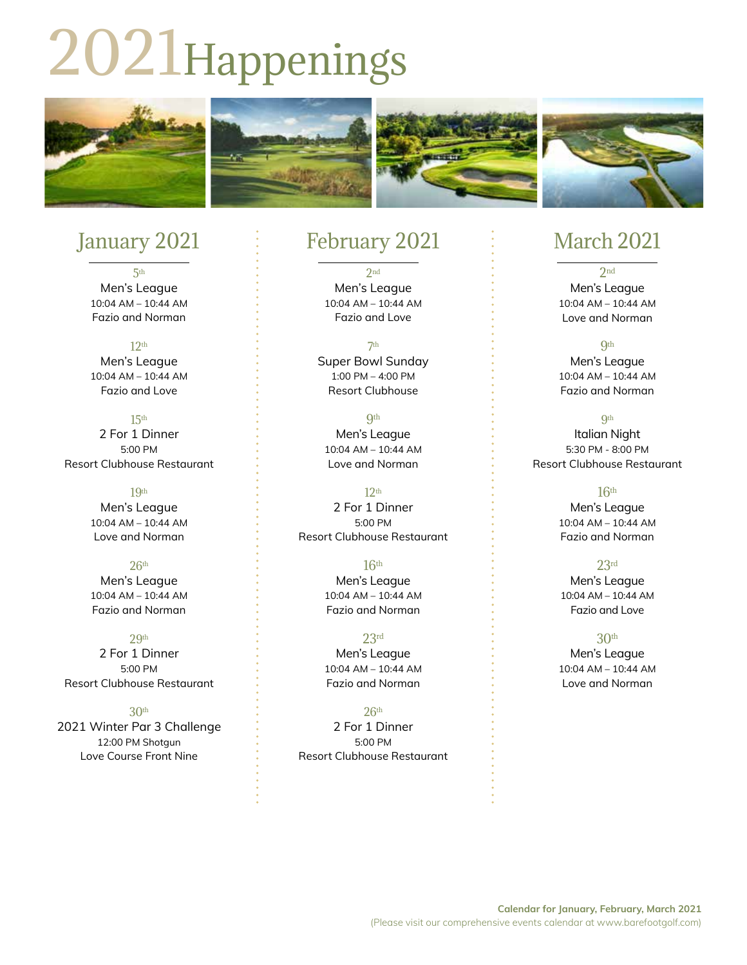# 2021Happenings



# January 2021

5th Men's League 10:04 AM – 10:44 AM Fazio and Norman

 $12<sub>th</sub>$ Men's League 10:04 AM – 10:44 AM Fazio and Love

15th 2 For 1 Dinner 5:00 PM Resort Clubhouse Restaurant

> 19th Men's League 10:04 AM – 10:44 AM Love and Norman

 $26<sup>th</sup>$ Men's League 10:04 AM – 10:44 AM Fazio and Norman

29<sup>th</sup> 2 For 1 Dinner 5:00 PM Resort Clubhouse Restaurant

30th 2021 Winter Par 3 Challenge 12:00 PM Shotgun Love Course Front Nine

### February 2021

2nd Men's League 10:04 AM – 10:44 AM Fazio and Love

7th Super Bowl Sunday 1:00 PM – 4:00 PM Resort Clubhouse

**9th** Men's League 10:04 AM – 10:44 AM Love and Norman

12th 2 For 1 Dinner 5:00 PM Resort Clubhouse Restaurant

> 16th Men's League 10:04 AM – 10:44 AM Fazio and Norman

23rd Men's League 10:04 AM – 10:44 AM Fazio and Norman

 $26<sup>th</sup>$ 2 For 1 Dinner 5:00 PM Resort Clubhouse Restaurant

# March 2021

2nd Men's League 10:04 AM – 10:44 AM Love and Norman

**Qth** Men's League 10:04 AM – 10:44 AM Fazio and Norman

**Qth** Italian Night 5:30 PM - 8:00 PM Resort Clubhouse Restaurant

> $16<sup>th</sup>$ Men's League 10:04 AM – 10:44 AM Fazio and Norman

23rd Men's League 10:04 AM – 10:44 AM Fazio and Love

30th Men's League 10:04 AM – 10:44 AM Love and Norman